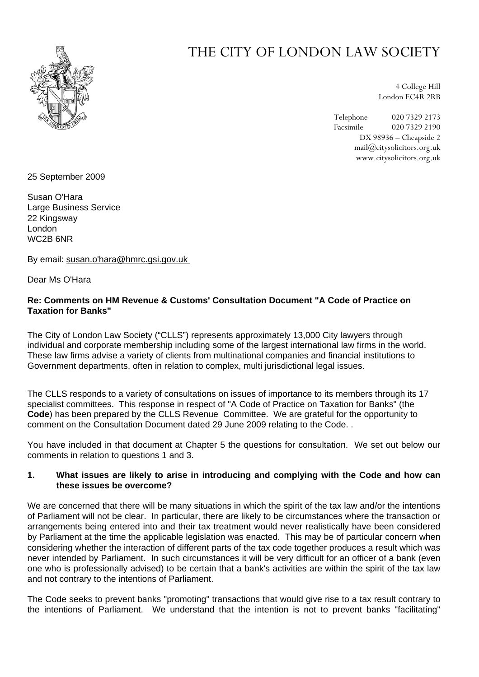

# THE CITY OF LONDON LAW SOCIETY

4 College Hill London EC4R 2RB

Telephone 020 7329 2173 Facsimile 020 7329 2190 DX 98936 – Cheapside 2 mail@citysolicitors.org.uk www.citysolicitors.org.uk

25 September 2009

Susan O'Hara Large Business Service 22 Kingsway London WC2B 6NR

By email: susan.o'hara@hmrc.gsi.gov.uk

Dear Ms O'Hara

## **Re: Comments on HM Revenue & Customs' Consultation Document "A Code of Practice on Taxation for Banks"**

The City of London Law Society ("CLLS") represents approximately 13,000 City lawyers through individual and corporate membership including some of the largest international law firms in the world. These law firms advise a variety of clients from multinational companies and financial institutions to Government departments, often in relation to complex, multi jurisdictional legal issues.

The CLLS responds to a variety of consultations on issues of importance to its members through its 17 specialist committees. This response in respect of "A Code of Practice on Taxation for Banks" (the **Code**) has been prepared by the CLLS Revenue Committee. We are grateful for the opportunity to comment on the Consultation Document dated 29 June 2009 relating to the Code. .

You have included in that document at Chapter 5 the questions for consultation. We set out below our comments in relation to questions 1 and 3.

## **1. What issues are likely to arise in introducing and complying with the Code and how can these issues be overcome?**

We are concerned that there will be many situations in which the spirit of the tax law and/or the intentions of Parliament will not be clear. In particular, there are likely to be circumstances where the transaction or arrangements being entered into and their tax treatment would never realistically have been considered by Parliament at the time the applicable legislation was enacted. This may be of particular concern when considering whether the interaction of different parts of the tax code together produces a result which was never intended by Parliament. In such circumstances it will be very difficult for an officer of a bank (even one who is professionally advised) to be certain that a bank's activities are within the spirit of the tax law and not contrary to the intentions of Parliament.

The Code seeks to prevent banks "promoting" transactions that would give rise to a tax result contrary to the intentions of Parliament. We understand that the intention is not to prevent banks "facilitating"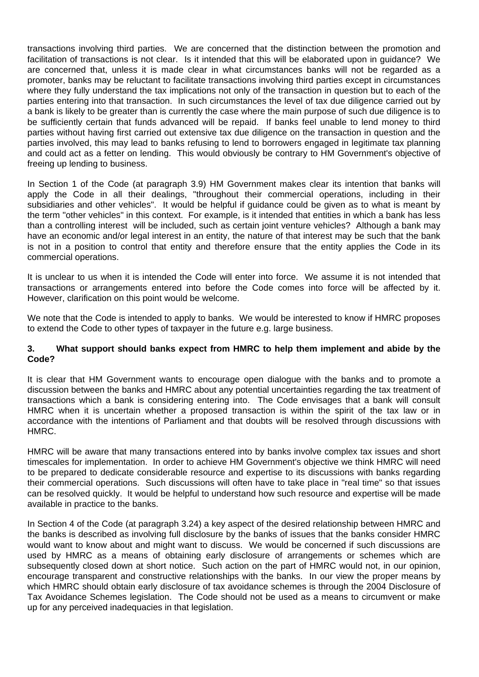transactions involving third parties. We are concerned that the distinction between the promotion and facilitation of transactions is not clear. Is it intended that this will be elaborated upon in guidance? We are concerned that, unless it is made clear in what circumstances banks will not be regarded as a promoter, banks may be reluctant to facilitate transactions involving third parties except in circumstances where they fully understand the tax implications not only of the transaction in question but to each of the parties entering into that transaction. In such circumstances the level of tax due diligence carried out by a bank is likely to be greater than is currently the case where the main purpose of such due diligence is to be sufficiently certain that funds advanced will be repaid. If banks feel unable to lend money to third parties without having first carried out extensive tax due diligence on the transaction in question and the parties involved, this may lead to banks refusing to lend to borrowers engaged in legitimate tax planning and could act as a fetter on lending. This would obviously be contrary to HM Government's objective of freeing up lending to business.

In Section 1 of the Code (at paragraph 3.9) HM Government makes clear its intention that banks will apply the Code in all their dealings, "throughout their commercial operations, including in their subsidiaries and other vehicles". It would be helpful if guidance could be given as to what is meant by the term "other vehicles" in this context. For example, is it intended that entities in which a bank has less than a controlling interest will be included, such as certain joint venture vehicles? Although a bank may have an economic and/or legal interest in an entity, the nature of that interest may be such that the bank is not in a position to control that entity and therefore ensure that the entity applies the Code in its commercial operations.

It is unclear to us when it is intended the Code will enter into force. We assume it is not intended that transactions or arrangements entered into before the Code comes into force will be affected by it. However, clarification on this point would be welcome.

We note that the Code is intended to apply to banks. We would be interested to know if HMRC proposes to extend the Code to other types of taxpayer in the future e.g. large business.

#### **3. What support should banks expect from HMRC to help them implement and abide by the Code?**

It is clear that HM Government wants to encourage open dialogue with the banks and to promote a discussion between the banks and HMRC about any potential uncertainties regarding the tax treatment of transactions which a bank is considering entering into. The Code envisages that a bank will consult HMRC when it is uncertain whether a proposed transaction is within the spirit of the tax law or in accordance with the intentions of Parliament and that doubts will be resolved through discussions with HMRC.

HMRC will be aware that many transactions entered into by banks involve complex tax issues and short timescales for implementation. In order to achieve HM Government's objective we think HMRC will need to be prepared to dedicate considerable resource and expertise to its discussions with banks regarding their commercial operations. Such discussions will often have to take place in "real time" so that issues can be resolved quickly. It would be helpful to understand how such resource and expertise will be made available in practice to the banks.

In Section 4 of the Code (at paragraph 3.24) a key aspect of the desired relationship between HMRC and the banks is described as involving full disclosure by the banks of issues that the banks consider HMRC would want to know about and might want to discuss. We would be concerned if such discussions are used by HMRC as a means of obtaining early disclosure of arrangements or schemes which are subsequently closed down at short notice. Such action on the part of HMRC would not, in our opinion, encourage transparent and constructive relationships with the banks. In our view the proper means by which HMRC should obtain early disclosure of tax avoidance schemes is through the 2004 Disclosure of Tax Avoidance Schemes legislation. The Code should not be used as a means to circumvent or make up for any perceived inadequacies in that legislation.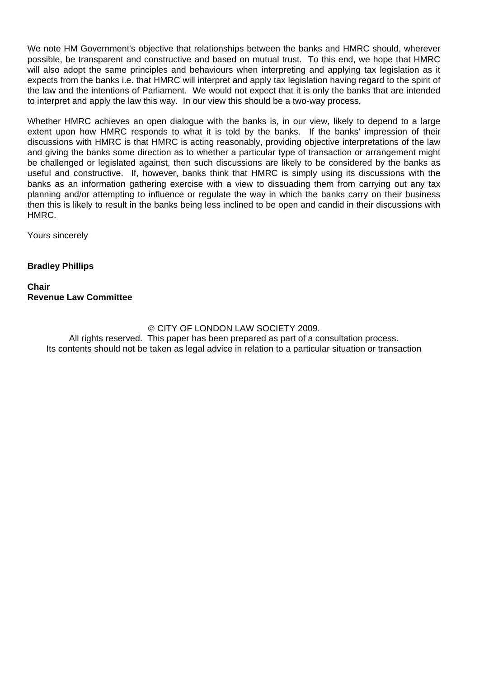We note HM Government's objective that relationships between the banks and HMRC should, wherever possible, be transparent and constructive and based on mutual trust. To this end, we hope that HMRC will also adopt the same principles and behaviours when interpreting and applying tax legislation as it expects from the banks i.e. that HMRC will interpret and apply tax legislation having regard to the spirit of the law and the intentions of Parliament. We would not expect that it is only the banks that are intended to interpret and apply the law this way. In our view this should be a two-way process.

Whether HMRC achieves an open dialogue with the banks is, in our view, likely to depend to a large extent upon how HMRC responds to what it is told by the banks. If the banks' impression of their discussions with HMRC is that HMRC is acting reasonably, providing objective interpretations of the law and giving the banks some direction as to whether a particular type of transaction or arrangement might be challenged or legislated against, then such discussions are likely to be considered by the banks as useful and constructive. If, however, banks think that HMRC is simply using its discussions with the banks as an information gathering exercise with a view to dissuading them from carrying out any tax planning and/or attempting to influence or regulate the way in which the banks carry on their business then this is likely to result in the banks being less inclined to be open and candid in their discussions with HMRC.

Yours sincerely

## **Bradley Phillips**

## **Chair Revenue Law Committee**

© CITY OF LONDON LAW SOCIETY 2009. All rights reserved. This paper has been prepared as part of a consultation process. Its contents should not be taken as legal advice in relation to a particular situation or transaction